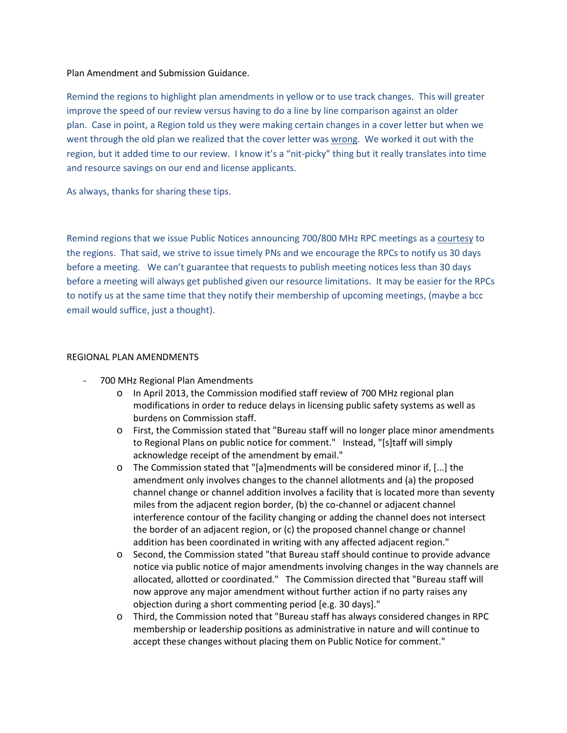## Plan Amendment and Submission Guidance.

Remind the regions to highlight plan amendments in yellow or to use track changes. This will greater improve the speed of our review versus having to do a line by line comparison against an older plan. Case in point, a Region told us they were making certain changes in a cover letter but when we went through the old plan we realized that the cover letter was wrong. We worked it out with the region, but it added time to our review. I know it's a "nit-picky" thing but it really translates into time and resource savings on our end and license applicants.

As always, thanks for sharing these tips.

Remind regions that we issue Public Notices announcing 700/800 MHz RPC meetings as a courtesy to the regions. That said, we strive to issue timely PNs and we encourage the RPCs to notify us 30 days before a meeting. We can't guarantee that requests to publish meeting notices less than 30 days before a meeting will always get published given our resource limitations. It may be easier for the RPCs to notify us at the same time that they notify their membership of upcoming meetings, (maybe a bcc email would suffice, just a thought).

## REGIONAL PLAN AMENDMENTS

- 700 MHz Regional Plan Amendments
	- o In April 2013, the Commission modified staff review of 700 MHz regional plan modifications in order to reduce delays in licensing public safety systems as well as burdens on Commission staff.
	- o First, the Commission stated that "Bureau staff will no longer place minor amendments to Regional Plans on public notice for comment." Instead, "[s]taff will simply acknowledge receipt of the amendment by email."
	- o The Commission stated that "[a]mendments will be considered minor if, [...] the amendment only involves changes to the channel allotments and (a) the proposed channel change or channel addition involves a facility that is located more than seventy miles from the adjacent region border, (b) the co-channel or adjacent channel interference contour of the facility changing or adding the channel does not intersect the border of an adjacent region, or (c) the proposed channel change or channel addition has been coordinated in writing with any affected adjacent region."
	- o Second, the Commission stated "that Bureau staff should continue to provide advance notice via public notice of major amendments involving changes in the way channels are allocated, allotted or coordinated." The Commission directed that "Bureau staff will now approve any major amendment without further action if no party raises any objection during a short commenting period [e.g. 30 days]."
	- o Third, the Commission noted that "Bureau staff has always considered changes in RPC membership or leadership positions as administrative in nature and will continue to accept these changes without placing them on Public Notice for comment."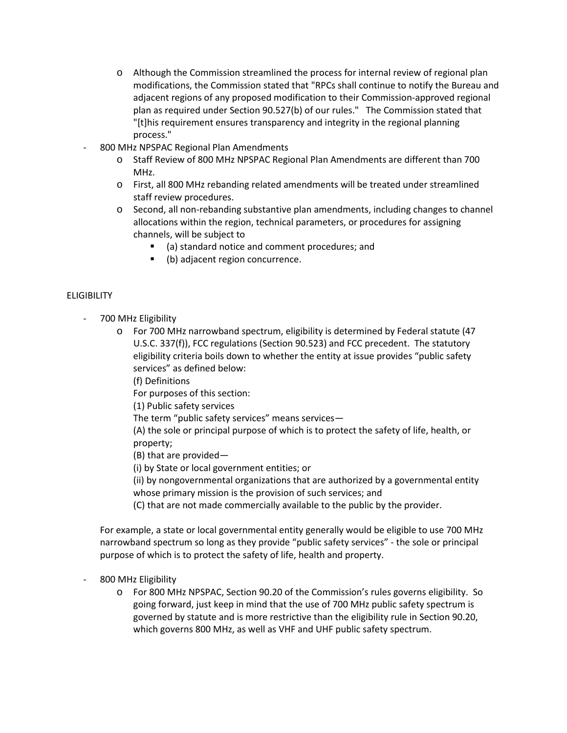- o Although the Commission streamlined the process for internal review of regional plan modifications, the Commission stated that "RPCs shall continue to notify the Bureau and adjacent regions of any proposed modification to their Commission-approved regional plan as required under Section 90.527(b) of our rules." The Commission stated that "[t]his requirement ensures transparency and integrity in the regional planning process."
- 800 MHz NPSPAC Regional Plan Amendments
	- o Staff Review of 800 MHz NPSPAC Regional Plan Amendments are different than 700 MHz.
	- o First, all 800 MHz rebanding related amendments will be treated under streamlined staff review procedures.
	- o Second, all non-rebanding substantive plan amendments, including changes to channel allocations within the region, technical parameters, or procedures for assigning channels, will be subject to
		- (a) standard notice and comment procedures; and
		- (b) adjacent region concurrence.

## **ELIGIBILITY**

- 700 MHz Eligibility
	- o For 700 MHz narrowband spectrum, eligibility is determined by Federal statute (47 U.S.C. 337(f)), FCC regulations (Section 90.523) and FCC precedent. The statutory eligibility criteria boils down to whether the entity at issue provides "public safety services" as defined below:

(f) Definitions

For purposes of this section:

(1) Public safety services

The term "public safety services" means services—

(A) the sole or principal purpose of which is to protect the safety of life, health, or property;

(B) that are provided—

(i) by State or local government entities; or

(ii) by nongovernmental organizations that are authorized by a governmental entity whose primary mission is the provision of such services; and

(C) that are not made commercially available to the public by the provider.

For example, a state or local governmental entity generally would be eligible to use 700 MHz narrowband spectrum so long as they provide "public safety services" - the sole or principal purpose of which is to protect the safety of life, health and property.

- 800 MHz Eligibility
	- o For 800 MHz NPSPAC, Section 90.20 of the Commission's rules governs eligibility. So going forward, just keep in mind that the use of 700 MHz public safety spectrum is governed by statute and is more restrictive than the eligibility rule in Section 90.20, which governs 800 MHz, as well as VHF and UHF public safety spectrum.